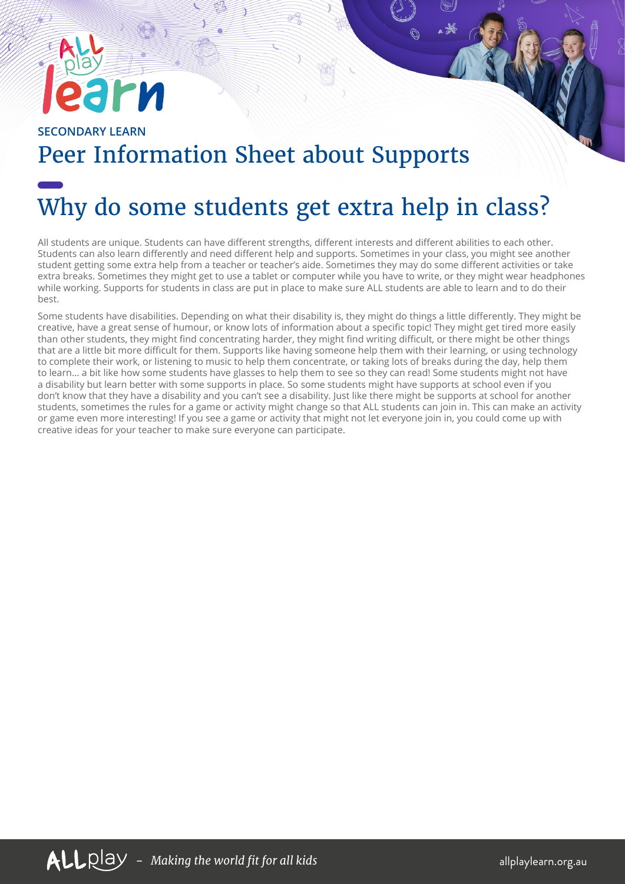## **SECONDARY LEARN** Peer Information Sheet about Supports

## Why do some students get extra help in class?

All students are unique. Students can have different strengths, different interests and different abilities to each other. Students can also learn differently and need different help and supports. Sometimes in your class, you might see another student getting some extra help from a teacher or teacher's aide. Sometimes they may do some different activities or take extra breaks. Sometimes they might get to use a tablet or computer while you have to write, or they might wear headphones while working. Supports for students in class are put in place to make sure ALL students are able to learn and to do their best.

Some students have disabilities. Depending on what their disability is, they might do things a little differently. They might be creative, have a great sense of humour, or know lots of information about a specific topic! They might get tired more easily than other students, they might find concentrating harder, they might find writing difficult, or there might be other things that are a little bit more difficult for them. Supports like having someone help them with their learning, or using technology to complete their work, or listening to music to help them concentrate, or taking lots of breaks during the day, help them to learn… a bit like how some students have glasses to help them to see so they can read! Some students might not have a disability but learn better with some supports in place. So some students might have supports at school even if you don't know that they have a disability and you can't see a disability. Just like there might be supports at school for another students, sometimes the rules for a game or activity might change so that ALL students can join in. This can make an activity or game even more interesting! If you see a game or activity that might not let everyone join in, you could come up with creative ideas for your teacher to make sure everyone can participate.